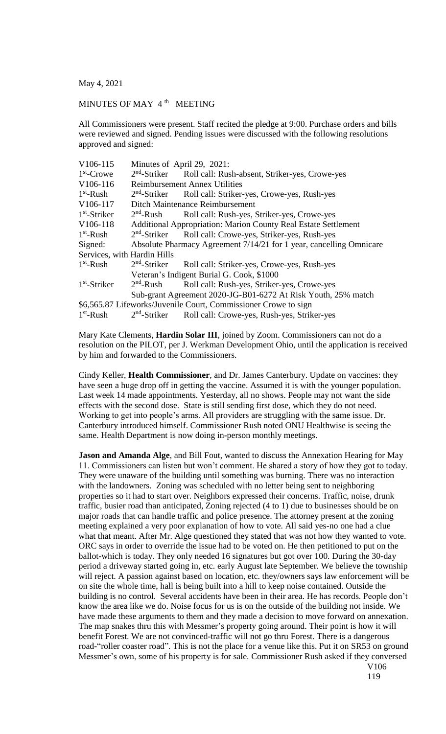May 4, 2021

## MINUTES OF MAY 4<sup>th</sup> MEETING

All Commissioners were present. Staff recited the pledge at 9:00. Purchase orders and bills were reviewed and signed. Pending issues were discussed with the following resolutions approved and signed:

| V106-115                    | Minutes of April 29, 2021:                                            |                                                                 |
|-----------------------------|-----------------------------------------------------------------------|-----------------------------------------------------------------|
| $1st$ -Crowe                | $2nd$ -Striker                                                        | Roll call: Rush-absent, Striker-yes, Crowe-yes                  |
| V106-116                    | <b>Reimbursement Annex Utilities</b>                                  |                                                                 |
| $1st$ -Rush                 | $2nd$ -Striker                                                        | Roll call: Striker-yes, Crowe-yes, Rush-yes                     |
| V106-117                    | Ditch Maintenance Reimbursement                                       |                                                                 |
| $1st$ -Striker              | $2nd$ -Rush                                                           | Roll call: Rush-yes, Striker-yes, Crowe-yes                     |
| V106-118                    | <b>Additional Appropriation: Marion County Real Estate Settlement</b> |                                                                 |
| $1st$ -Rush                 | $2nd$ -Striker                                                        | Roll call: Crowe-yes, Striker-yes, Rush-yes                     |
| Signed:                     | Absolute Pharmacy Agreement 7/14/21 for 1 year, cancelling Omnicare   |                                                                 |
| Services, with Hardin Hills |                                                                       |                                                                 |
| $1st$ -Rush                 | $2nd$ -Striker                                                        | Roll call: Striker-yes, Crowe-yes, Rush-yes                     |
|                             | Veteran's Indigent Burial G. Cook, \$1000                             |                                                                 |
| $1st$ -Striker              | $2nd$ -Rush                                                           | Roll call: Rush-yes, Striker-yes, Crowe-yes                     |
|                             | Sub-grant Agreement 2020-JG-B01-6272 At Risk Youth, 25% match         |                                                                 |
|                             |                                                                       | \$6,565.87 Lifeworks/Juvenile Court, Commissioner Crowe to sign |
| $1st$ -Rush                 | $2nd$ -Striker                                                        | Roll call: Crowe-yes, Rush-yes, Striker-yes                     |
|                             |                                                                       |                                                                 |

Mary Kate Clements, **Hardin Solar III**, joined by Zoom. Commissioners can not do a resolution on the PILOT, per J. Werkman Development Ohio, until the application is received by him and forwarded to the Commissioners.

Cindy Keller, **Health Commissioner**, and Dr. James Canterbury. Update on vaccines: they have seen a huge drop off in getting the vaccine. Assumed it is with the younger population. Last week 14 made appointments. Yesterday, all no shows. People may not want the side effects with the second dose. State is still sending first dose, which they do not need. Working to get into people's arms. All providers are struggling with the same issue. Dr. Canterbury introduced himself. Commissioner Rush noted ONU Healthwise is seeing the same. Health Department is now doing in-person monthly meetings.

**Jason and Amanda Alge**, and Bill Fout, wanted to discuss the Annexation Hearing for May 11. Commissioners can listen but won't comment. He shared a story of how they got to today. They were unaware of the building until something was burning. There was no interaction with the landowners. Zoning was scheduled with no letter being sent to neighboring properties so it had to start over. Neighbors expressed their concerns. Traffic, noise, drunk traffic, busier road than anticipated, Zoning rejected (4 to 1) due to businesses should be on major roads that can handle traffic and police presence. The attorney present at the zoning meeting explained a very poor explanation of how to vote. All said yes-no one had a clue what that meant. After Mr. Alge questioned they stated that was not how they wanted to vote. ORC says in order to override the issue had to be voted on. He then petitioned to put on the ballot-which is today. They only needed 16 signatures but got over 100. During the 30-day period a driveway started going in, etc. early August late September. We believe the township will reject. A passion against based on location, etc. they/owners says law enforcement will be on site the whole time, hall is being built into a hill to keep noise contained. Outside the building is no control. Several accidents have been in their area. He has records. People don't know the area like we do. Noise focus for us is on the outside of the building not inside. We have made these arguments to them and they made a decision to move forward on annexation. The map snakes thru this with Messmer's property going around. Their point is how it will benefit Forest. We are not convinced-traffic will not go thru Forest. There is a dangerous road-"roller coaster road". This is not the place for a venue like this. Put it on SR53 on ground Messmer's own, some of his property is for sale. Commissioner Rush asked if they conversed V106

119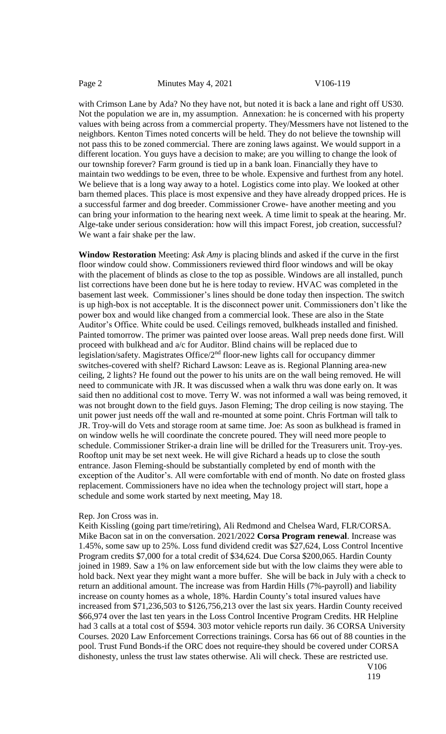with Crimson Lane by Ada? No they have not, but noted it is back a lane and right off US30. Not the population we are in, my assumption. Annexation: he is concerned with his property values with being across from a commercial property. They/Messmers have not listened to the neighbors. Kenton Times noted concerts will be held. They do not believe the township will not pass this to be zoned commercial. There are zoning laws against. We would support in a different location. You guys have a decision to make; are you willing to change the look of our township forever? Farm ground is tied up in a bank loan. Financially they have to maintain two weddings to be even, three to be whole. Expensive and furthest from any hotel. We believe that is a long way away to a hotel. Logistics come into play. We looked at other barn themed places. This place is most expensive and they have already dropped prices. He is a successful farmer and dog breeder. Commissioner Crowe- have another meeting and you can bring your information to the hearing next week. A time limit to speak at the hearing. Mr. Alge-take under serious consideration: how will this impact Forest, job creation, successful? We want a fair shake per the law.

**Window Restoration** Meeting: *Ask Amy* is placing blinds and asked if the curve in the first floor window could show. Commissioners reviewed third floor windows and will be okay with the placement of blinds as close to the top as possible. Windows are all installed, punch list corrections have been done but he is here today to review. HVAC was completed in the basement last week. Commissioner's lines should be done today then inspection. The switch is up high-box is not acceptable. It is the disconnect power unit. Commissioners don't like the power box and would like changed from a commercial look. These are also in the State Auditor's Office. White could be used. Ceilings removed, bulkheads installed and finished. Painted tomorrow. The primer was painted over loose areas. Wall prep needs done first. Will proceed with bulkhead and a/c for Auditor. Blind chains will be replaced due to legislation/safety. Magistrates Office/2<sup>nd</sup> floor-new lights call for occupancy dimmer switches-covered with shelf? Richard Lawson: Leave as is. Regional Planning area-new ceiling, 2 lights? He found out the power to his units are on the wall being removed. He will need to communicate with JR. It was discussed when a walk thru was done early on. It was said then no additional cost to move. Terry W. was not informed a wall was being removed, it was not brought down to the field guys. Jason Fleming; The drop ceiling is now staying. The unit power just needs off the wall and re-mounted at some point. Chris Fortman will talk to JR. Troy-will do Vets and storage room at same time. Joe: As soon as bulkhead is framed in on window wells he will coordinate the concrete poured. They will need more people to schedule. Commissioner Striker-a drain line will be drilled for the Treasurers unit. Troy-yes. Rooftop unit may be set next week. He will give Richard a heads up to close the south entrance. Jason Fleming-should be substantially completed by end of month with the exception of the Auditor's. All were comfortable with end of month. No date on frosted glass replacement. Commissioners have no idea when the technology project will start, hope a schedule and some work started by next meeting, May 18.

## Rep. Jon Cross was in.

Keith Kissling (going part time/retiring), Ali Redmond and Chelsea Ward, FLR/CORSA. Mike Bacon sat in on the conversation. 2021/2022 **Corsa Program renewal**. Increase was 1.45%, some saw up to 25%. Loss fund dividend credit was \$27,624, Loss Control Incentive Program credits \$7,000 for a total credit of \$34,624. Due Corsa \$200,065. Hardin County joined in 1989. Saw a 1% on law enforcement side but with the low claims they were able to hold back. Next year they might want a more buffer. She will be back in July with a check to return an additional amount. The increase was from Hardin Hills (7%-payroll) and liability increase on county homes as a whole, 18%. Hardin County's total insured values have increased from \$71,236,503 to \$126,756,213 over the last six years. Hardin County received \$66,974 over the last ten years in the Loss Control Incentive Program Credits. HR Helpline had 3 calls at a total cost of \$594. 303 motor vehicle reports run daily. 36 CORSA University Courses. 2020 Law Enforcement Corrections trainings. Corsa has 66 out of 88 counties in the pool. Trust Fund Bonds-if the ORC does not require-they should be covered under CORSA dishonesty, unless the trust law states otherwise. Ali will check. These are restricted use.

V106 119